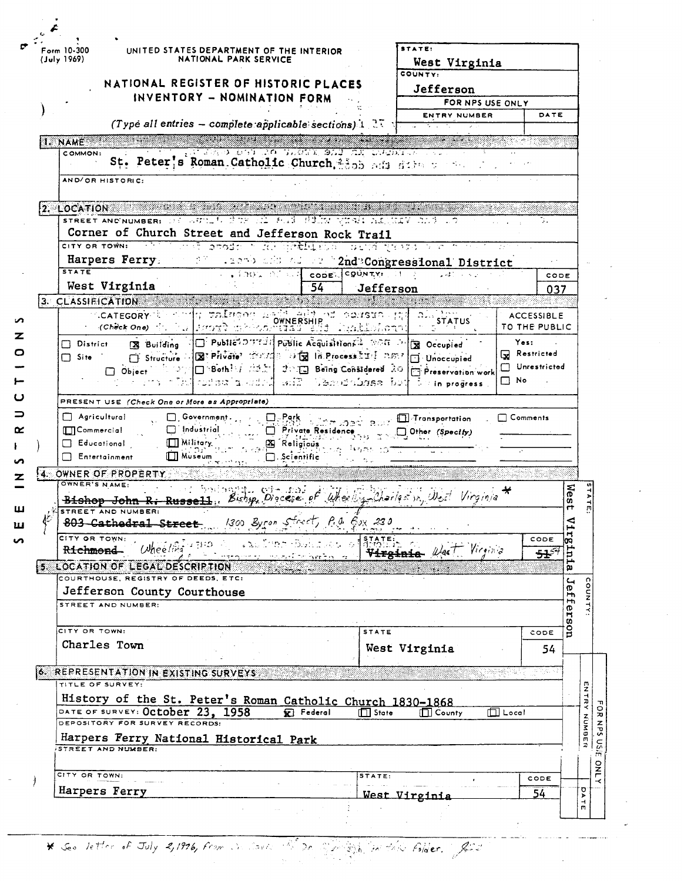| Form 10-300<br>UNITED STATES DEPARTMENT OF THE INTERIOR<br>(July 1969)<br>NATIONAL PARK SERVICE                                                                                                                                | STATE:<br>West Virginia                         |                                    |                                          |  |
|--------------------------------------------------------------------------------------------------------------------------------------------------------------------------------------------------------------------------------|-------------------------------------------------|------------------------------------|------------------------------------------|--|
| NATIONAL REGISTER OF HISTORIC PLACES<br>INVENTORY - NOMINATION FORM                                                                                                                                                            | COUNTY:<br>Jefferson<br>FOR NPS USE ONLY        |                                    |                                          |  |
|                                                                                                                                                                                                                                | ENTRY NUMBER                                    | DATE                               |                                          |  |
| (Type all entries - complete applicable sections) 1.37 $+$                                                                                                                                                                     |                                                 |                                    |                                          |  |
| 1. NAME                                                                                                                                                                                                                        | <u> Samangan</u>                                |                                    |                                          |  |
| STERRO EST AO TAGAT 923 MAI DUBATOS<br>COMMON:<br>St. Peter's Roman Catholic Church 2205 add dide week<br>AND/OR HISTORIC:                                                                                                     |                                                 |                                    |                                          |  |
|                                                                                                                                                                                                                                |                                                 |                                    |                                          |  |
| $2.$ LOCATION<br>STREET AND NUMBER: 230 WULLER STREET FASH FALSE FALLING VIEWS ALL NEW ALL SEC                                                                                                                                 |                                                 | ъ.                                 |                                          |  |
| Corner of Church Street and Jefferson Rock Trail                                                                                                                                                                               |                                                 |                                    |                                          |  |
| CITY OR TOWN: A REAL AND DESCRIPTION OF THE CONSTRUCTION OF THE CONTROL OF THE CONSTRUCTION OF THE CONSTRUCTION OF THE CONSTRUCTION OF THE CONSTRUCTION OF THE CONSTRUCTION OF THE CONSTRUCTION OF THE CONSTRUCTION OF THE CON |                                                 |                                    |                                          |  |
| Harpers Ferry: 1997 Allen's and all any "2nd Congressional District                                                                                                                                                            |                                                 |                                    |                                          |  |
| <b>STATE</b><br>$\sim$ , and all and cone (county: it a                                                                                                                                                                        | <b>SAMPLE REP</b>                               | CODE                               |                                          |  |
| West Virginia<br>$\overline{54}$                                                                                                                                                                                               | Jefferson                                       | 037                                |                                          |  |
| 3. CLASSIFICATION<br>g rainee aadiighint constour,                                                                                                                                                                             |                                                 |                                    |                                          |  |
| <b>CATEGORY</b><br><b>OWNERSHIP</b><br>- - (Check One) ポルテム   Jorner》 カトラカバロスタ<br>Tualiohoan:                                                                                                                                  | <b>STATUS</b>                                   | <b>ACCESSIBLE</b><br>TO THE PUBLIC |                                          |  |
| O Public DUTE II Public Acquisitions 2 NOR D 3 Occupied<br><b>X</b> Building<br>$\Box$ District                                                                                                                                |                                                 | Yes:                               |                                          |  |
| Structure 2 2 Private 2002 0 3 2 18 Process 21 257 1 Unoccupied<br>$\Box$ Site                                                                                                                                                 |                                                 | Restricted                         |                                          |  |
| Bothing machine Being Considered 201<br>$\Box$ Object                                                                                                                                                                          | Preservation work                               | Unrestricted                       |                                          |  |
| $\sim$ same same $\sim$ $\sim$ $\sim$ $\sim$                                                                                                                                                                                   | $\frac{7}{2}$ in progress.                      | □ No                               |                                          |  |
|                                                                                                                                                                                                                                |                                                 |                                    |                                          |  |
|                                                                                                                                                                                                                                |                                                 |                                    |                                          |  |
| PRESENT USE (Check One or More as Appropriate)<br>$\Box$ Agricultural<br>$\Box$ Government.                                                                                                                                    |                                                 | $\Box$ Comments                    |                                          |  |
| $\square$ , Park<br>$\Box$ Industrial<br>$\Box$ ] Commercial<br>Private Residence                                                                                                                                              | $\Box$ Transportation<br>$\Box$ Other (Specify) |                                    |                                          |  |
| <b>X</b> Religious<br><b>ITT Military</b><br>$\Box$ Educational                                                                                                                                                                |                                                 |                                    |                                          |  |
| $\Box$ Museum<br>$\Box$ Entertainment                                                                                                                                                                                          |                                                 |                                    |                                          |  |
| 4. OWNER OF PROPERTY                                                                                                                                                                                                           |                                                 |                                    |                                          |  |
| OWNER'S NAME:                                                                                                                                                                                                                  |                                                 |                                    |                                          |  |
| Bishop John R. Russell, Bishop Discess of Wheeling-Charles in West Virginia *<br>STREET AND NUMBER:                                                                                                                            |                                                 |                                    | wes<br>rt                                |  |
| 1300 Byron Street, P.O. Cox 230<br>803 Cathedral Street                                                                                                                                                                        | <b>SALA</b><br>$\sim$ $\sim$                    |                                    | ⊲                                        |  |
| сіту ов томм:<br>u tuu Shire t                                                                                                                                                                                                 | <b>STATE:</b>                                   | CODE                               | Ę                                        |  |
| $O$ heeling $171D$<br>Richmond-<br>and the Port Park                                                                                                                                                                           | Virginia West Virginia                          | ÷÷                                 | Ë                                        |  |
| 5 LOCATION OF LEGAL DESCRIPTION<br>COURTHOUSE, REGISTRY OF DEEDS, ETC:                                                                                                                                                         |                                                 |                                    | ۵.                                       |  |
|                                                                                                                                                                                                                                |                                                 |                                    | $\overline{\phantom{a}}$<br>$\mathbf{D}$ |  |
| Jefferson County Courthouse<br>STREET AND NUMBER:                                                                                                                                                                              |                                                 |                                    | H٦<br>H                                  |  |
|                                                                                                                                                                                                                                |                                                 |                                    | ers                                      |  |
| CITY OR TOWN:                                                                                                                                                                                                                  | <b>STATE</b>                                    | CODE                               | g                                        |  |
| Charles Town                                                                                                                                                                                                                   | West Virginia                                   | 54                                 |                                          |  |
|                                                                                                                                                                                                                                |                                                 |                                    |                                          |  |
| <b>6. REPRESENTATION IN EXISTING SURVEYS</b><br>TITLE OF SURVEY:                                                                                                                                                               |                                                 |                                    |                                          |  |
|                                                                                                                                                                                                                                |                                                 |                                    |                                          |  |
| History of the St. Peter's Roman Catholic Church 1830-1868<br>DATE OF SURVEY: October 23, 1958<br><b>Ext</b> Federal                                                                                                           | $\Box$ State<br>$\Box$ County                   | $\Box$ Local                       |                                          |  |
| DEPOSITORY FOR SURVEY RECORDS:                                                                                                                                                                                                 |                                                 |                                    |                                          |  |
| Harpers Ferry National Historical Park<br>STREET AND NUMBER:                                                                                                                                                                   |                                                 |                                    |                                          |  |
|                                                                                                                                                                                                                                |                                                 |                                    |                                          |  |
| CITY OR TOWN:                                                                                                                                                                                                                  | STATE:                                          | CODE                               | NUMBER                                   |  |
| Harpers Ferry                                                                                                                                                                                                                  | <u>West Viroinis</u>                            | 54                                 | σ<br>$\blacktriangleright$               |  |

\* See letter of July 2,1976, from in South W. Dr. San Spiel in this folder. Jour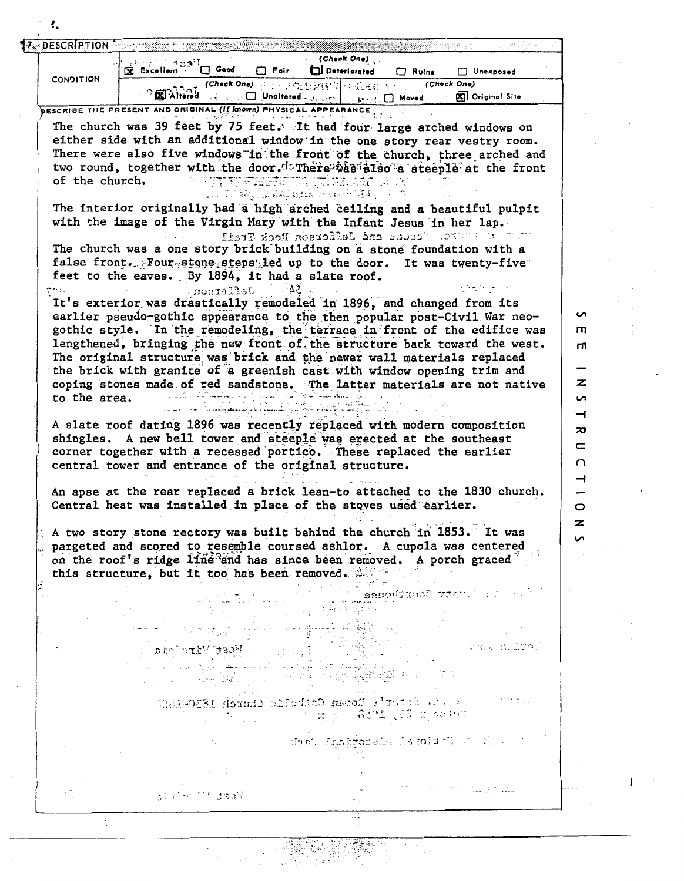|                                | (Check One)<br>Excellent (<br>∑ Good<br>$\Box$ . Fair $\Box$<br>Deteriorated                                                                                                                                                                                                                                                                                                                                                                                                                                                                                                                                                                                                                                                                                                                                                                                                                                                                                                                                                                                                                                                                                                                                                                                                                                                                                                                          | $\Box$ Ruins            | Unexposed              |                        |
|--------------------------------|-------------------------------------------------------------------------------------------------------------------------------------------------------------------------------------------------------------------------------------------------------------------------------------------------------------------------------------------------------------------------------------------------------------------------------------------------------------------------------------------------------------------------------------------------------------------------------------------------------------------------------------------------------------------------------------------------------------------------------------------------------------------------------------------------------------------------------------------------------------------------------------------------------------------------------------------------------------------------------------------------------------------------------------------------------------------------------------------------------------------------------------------------------------------------------------------------------------------------------------------------------------------------------------------------------------------------------------------------------------------------------------------------------|-------------------------|------------------------|------------------------|
| <b>CONDITION</b>               | <b>Blat (Check One)</b> Party of Straight of Chains and                                                                                                                                                                                                                                                                                                                                                                                                                                                                                                                                                                                                                                                                                                                                                                                                                                                                                                                                                                                                                                                                                                                                                                                                                                                                                                                                               | (Check One)             |                        |                        |
|                                | $\Box$ Unaltered $\Box$ $\Box$ $\Box$ $\Box$ $\Box$ $\Box$ Moved $\Box$<br><b>XI Altered</b>                                                                                                                                                                                                                                                                                                                                                                                                                                                                                                                                                                                                                                                                                                                                                                                                                                                                                                                                                                                                                                                                                                                                                                                                                                                                                                          |                         | <b>D</b> Original Site |                        |
| of the church.<br>to the area. | <b>DESCRIBE THE PRESENT AND ORIGINAL (If known) PHYSIC</b><br>The church was 39 feet by 75 feet. It had four large arched windows on<br>either side with an additional window in the one story rear vestry room.<br>There were also five windows in the front of the church, three arched and<br>two round, together with the door. I There was also a steeple at the front<br>المراقية المتمور والمعهد ليستعش المتار ولتحال<br>The interior originally had a high arched ceiling and a beautiful pulpit<br>with the image of the Virgin Mary with the Infant Jesus in her lap.<br>where the course, where and Jefferson Reck Trail<br>The church was a one story brick building on a stone foundation with a<br>false front. Four stone steps, led up to the door. It was twenty-five<br>feet to the eaves. By 1894, it had a slate roof.<br>Jefferron<br>It's exterior was drastically remodeled in 1896, and changed from its<br>earlier pseudo-gothic appearance to the then popular post-Civil War neo-<br>gothic style. In the remodeling, the terrace in front of the edifice was<br>lengthened, bringing the new front of the structure back toward the west.<br>The original structure was brick and the newer wall materials replaced<br>the brick with granite of a greenish cast with window opening trim and<br>coping stones made of red sandstone. The latter materials are not native |                         |                        | ັ<br>m<br>т<br>z<br>S  |
|                                | A slate roof dating 1896 was recently replaced with modern composition<br>shingles. A new bell tower and steeple was erected at the southeast<br>corner together with a recessed portico. These replaced the earlier                                                                                                                                                                                                                                                                                                                                                                                                                                                                                                                                                                                                                                                                                                                                                                                                                                                                                                                                                                                                                                                                                                                                                                                  |                         |                        | ᅿ<br>ᅍ<br>c<br>റ       |
|                                | central tower and entrance of the original structure.<br>An apse at the rear replaced a brick lean-to attached to the 1830 church.<br>Central heat was installed in place of the stoves used earlier.<br>A two story stone rectory was built behind the church in 1853. It was<br>pargeted and scored to resemble coursed ashlor. A cupola was centered<br>on the roof's ridge line and has since been removed. A porch graced<br>this structure, but it too has been removed.                                                                                                                                                                                                                                                                                                                                                                                                                                                                                                                                                                                                                                                                                                                                                                                                                                                                                                                        |                         |                        | ᅿ<br>$\circ$<br>ァ<br>S |
|                                | 독 우리 양소 원수<br>Person in <b>West</b> Mirminda<br>75 - South 붉은, #2 : 201<br>والقلال جئين                                                                                                                                                                                                                                                                                                                                                                                                                                                                                                                                                                                                                                                                                                                                                                                                                                                                                                                                                                                                                                                                                                                                                                                                                                                                                                               | senodition views income | - Give in Izal         |                        |
|                                | many a rest festive to the an Cathelic Church 1830-1866                                                                                                                                                                                                                                                                                                                                                                                                                                                                                                                                                                                                                                                                                                                                                                                                                                                                                                                                                                                                                                                                                                                                                                                                                                                                                                                                               |                         |                        |                        |
|                                | s due't findered sins februaris and teach                                                                                                                                                                                                                                                                                                                                                                                                                                                                                                                                                                                                                                                                                                                                                                                                                                                                                                                                                                                                                                                                                                                                                                                                                                                                                                                                                             |                         |                        |                        |
| уĘ.                            | きょうかいかん コネダイリー                                                                                                                                                                                                                                                                                                                                                                                                                                                                                                                                                                                                                                                                                                                                                                                                                                                                                                                                                                                                                                                                                                                                                                                                                                                                                                                                                                                        |                         |                        |                        |

 $\overline{\phantom{a}}$ 

 $\overline{\phantom{a}}$  $\hat{\mathcal{A}}$ 

 $\pmb{\mathcal{L}}$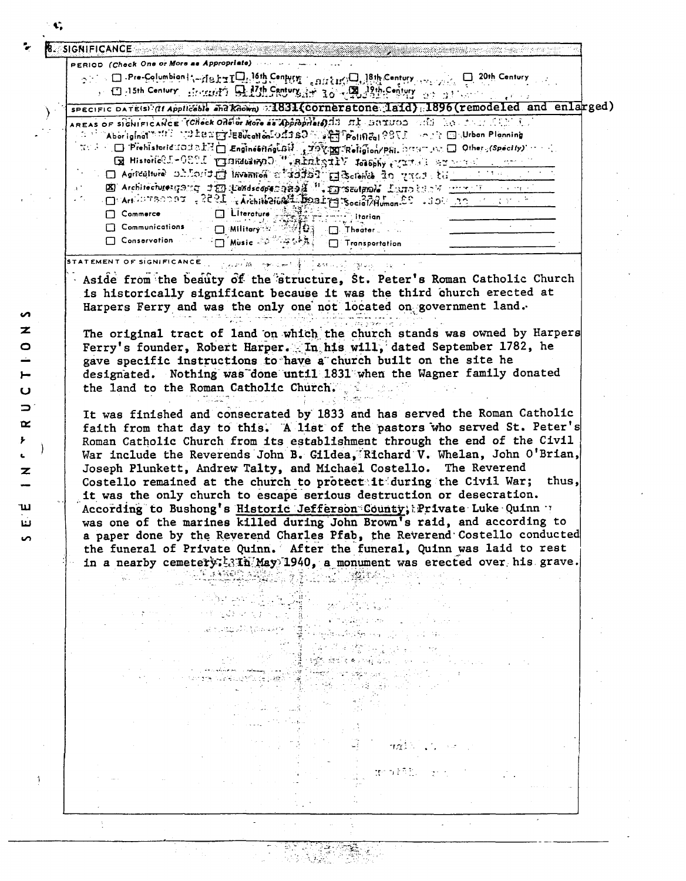| $\text{C}$ . $\Box$ Pre-Columbian is - He $\text{tr} \Box$ . 16th Century $\Box$ on $\text{tr} \Diamond \Box$ , 18th Century $\Box$ , $\Box$ 20th Century<br>$\sim$ $\Box$ alsth Century allowing $\Theta$ $B$ of $\Omega$ h Canturg $A$ is $\Omega$ $\sqrt{\Psi}$ $\Omega$ $\Omega$ in equation $\Omega$ . The contract $\Omega$<br>SPECIFIC DATE(S) (if Applicable and Known) : 1831 (COTRETS tone laid) : 1896 (remodeled and enlarged)<br>AREAS OF SIGNIFICANCE TOHOCK OROG AND AS APPROPERED AS A SUIVOS SIGN NO CONSTRUCT OF<br>$\sim$ Aboriginal $\sim$ 13 $\sim$ $\sim$ $2.28$ $\sim$ $2.28$ $\sim$ $2.28$ $\sim$ $2.28$ $\sim$ $2.28$ $\sim$ $2.28$ $\sim$ $2.28$ $\sim$<br>$\mathbb{E}^{n+1} \cap \square$ : Prehistoric LOUD LE $\square$ Engineering LBM $\mathbb{E}^{n+1}$ over the indicator properties $\square$ . Others (Specify) and $\square$<br>E Historic C.P.C. THE Visching of Art of the Second Property of the Second Line<br>□ Agriculture of cord in invention of added a ground to ground to an anti-<br>E) Architecture: 179 120 120 description of the Consect prole Land back that the contract of the contract of the<br>$-1.22$ $-1.22$ $-1.25$ $-1.4$ $-1.25$ $-1.25$ $-1.25$ $-1.25$ $-1.25$ $-1.25$ $-1.25$ $-1.25$ $-1.25$ $-1.25$ $-1.25$ $-1.25$ $-1.25$ $-1.25$ $-1.25$ $-1.25$ $-1.25$ $-1.25$ $-1.25$ $-1.25$ $-1.25$ $-1.25$ $-1.25$ $-1.25$<br>Commerce<br>Communications<br>□ Militory → 不明白 - □ Theater |       |
|-------------------------------------------------------------------------------------------------------------------------------------------------------------------------------------------------------------------------------------------------------------------------------------------------------------------------------------------------------------------------------------------------------------------------------------------------------------------------------------------------------------------------------------------------------------------------------------------------------------------------------------------------------------------------------------------------------------------------------------------------------------------------------------------------------------------------------------------------------------------------------------------------------------------------------------------------------------------------------------------------------------------------------------------------------------------------------------------------------------------------------------------------------------------------------------------------------------------------------------------------------------------------------------------------------------------------------------------------------------------------------------------------------------------------------------------------------|-------|
|                                                                                                                                                                                                                                                                                                                                                                                                                                                                                                                                                                                                                                                                                                                                                                                                                                                                                                                                                                                                                                                                                                                                                                                                                                                                                                                                                                                                                                                       |       |
|                                                                                                                                                                                                                                                                                                                                                                                                                                                                                                                                                                                                                                                                                                                                                                                                                                                                                                                                                                                                                                                                                                                                                                                                                                                                                                                                                                                                                                                       |       |
|                                                                                                                                                                                                                                                                                                                                                                                                                                                                                                                                                                                                                                                                                                                                                                                                                                                                                                                                                                                                                                                                                                                                                                                                                                                                                                                                                                                                                                                       |       |
|                                                                                                                                                                                                                                                                                                                                                                                                                                                                                                                                                                                                                                                                                                                                                                                                                                                                                                                                                                                                                                                                                                                                                                                                                                                                                                                                                                                                                                                       |       |
|                                                                                                                                                                                                                                                                                                                                                                                                                                                                                                                                                                                                                                                                                                                                                                                                                                                                                                                                                                                                                                                                                                                                                                                                                                                                                                                                                                                                                                                       |       |
|                                                                                                                                                                                                                                                                                                                                                                                                                                                                                                                                                                                                                                                                                                                                                                                                                                                                                                                                                                                                                                                                                                                                                                                                                                                                                                                                                                                                                                                       |       |
|                                                                                                                                                                                                                                                                                                                                                                                                                                                                                                                                                                                                                                                                                                                                                                                                                                                                                                                                                                                                                                                                                                                                                                                                                                                                                                                                                                                                                                                       |       |
|                                                                                                                                                                                                                                                                                                                                                                                                                                                                                                                                                                                                                                                                                                                                                                                                                                                                                                                                                                                                                                                                                                                                                                                                                                                                                                                                                                                                                                                       |       |
|                                                                                                                                                                                                                                                                                                                                                                                                                                                                                                                                                                                                                                                                                                                                                                                                                                                                                                                                                                                                                                                                                                                                                                                                                                                                                                                                                                                                                                                       |       |
|                                                                                                                                                                                                                                                                                                                                                                                                                                                                                                                                                                                                                                                                                                                                                                                                                                                                                                                                                                                                                                                                                                                                                                                                                                                                                                                                                                                                                                                       |       |
|                                                                                                                                                                                                                                                                                                                                                                                                                                                                                                                                                                                                                                                                                                                                                                                                                                                                                                                                                                                                                                                                                                                                                                                                                                                                                                                                                                                                                                                       |       |
|                                                                                                                                                                                                                                                                                                                                                                                                                                                                                                                                                                                                                                                                                                                                                                                                                                                                                                                                                                                                                                                                                                                                                                                                                                                                                                                                                                                                                                                       |       |
| □ Conservation → □ Music - ○ 公平公共 □ Transportation                                                                                                                                                                                                                                                                                                                                                                                                                                                                                                                                                                                                                                                                                                                                                                                                                                                                                                                                                                                                                                                                                                                                                                                                                                                                                                                                                                                                    |       |
| STATEMENT OF SIGNIFICANCE                                                                                                                                                                                                                                                                                                                                                                                                                                                                                                                                                                                                                                                                                                                                                                                                                                                                                                                                                                                                                                                                                                                                                                                                                                                                                                                                                                                                                             |       |
| الودي تلهيج الركوب بالاقتصاد في المجموعة المستقرر المحافظ المتوسيقين الكوب والمجموعية المتوسطينية ال                                                                                                                                                                                                                                                                                                                                                                                                                                                                                                                                                                                                                                                                                                                                                                                                                                                                                                                                                                                                                                                                                                                                                                                                                                                                                                                                                  |       |
| Aside from the beauty of the structure, St. Peter's Roman Catholic Church                                                                                                                                                                                                                                                                                                                                                                                                                                                                                                                                                                                                                                                                                                                                                                                                                                                                                                                                                                                                                                                                                                                                                                                                                                                                                                                                                                             |       |
| is historically significant because it was the third church erected at                                                                                                                                                                                                                                                                                                                                                                                                                                                                                                                                                                                                                                                                                                                                                                                                                                                                                                                                                                                                                                                                                                                                                                                                                                                                                                                                                                                |       |
| Harpers Ferry and was the only one not located on government land.                                                                                                                                                                                                                                                                                                                                                                                                                                                                                                                                                                                                                                                                                                                                                                                                                                                                                                                                                                                                                                                                                                                                                                                                                                                                                                                                                                                    |       |
|                                                                                                                                                                                                                                                                                                                                                                                                                                                                                                                                                                                                                                                                                                                                                                                                                                                                                                                                                                                                                                                                                                                                                                                                                                                                                                                                                                                                                                                       |       |
| The original tract of land on which the church stands was owned by Harpers                                                                                                                                                                                                                                                                                                                                                                                                                                                                                                                                                                                                                                                                                                                                                                                                                                                                                                                                                                                                                                                                                                                                                                                                                                                                                                                                                                            |       |
| Ferry's founder, Robert Harper. In his will, dated September 1782, he                                                                                                                                                                                                                                                                                                                                                                                                                                                                                                                                                                                                                                                                                                                                                                                                                                                                                                                                                                                                                                                                                                                                                                                                                                                                                                                                                                                 |       |
| gave specific instructions to have a church built on the site he                                                                                                                                                                                                                                                                                                                                                                                                                                                                                                                                                                                                                                                                                                                                                                                                                                                                                                                                                                                                                                                                                                                                                                                                                                                                                                                                                                                      |       |
| designated. Nothing was done until 1831 when the Wagner family donated                                                                                                                                                                                                                                                                                                                                                                                                                                                                                                                                                                                                                                                                                                                                                                                                                                                                                                                                                                                                                                                                                                                                                                                                                                                                                                                                                                                |       |
| the land to the Roman Catholic Church.                                                                                                                                                                                                                                                                                                                                                                                                                                                                                                                                                                                                                                                                                                                                                                                                                                                                                                                                                                                                                                                                                                                                                                                                                                                                                                                                                                                                                |       |
| It was finished and consecrated by 1833 and has served the Roman Catholic                                                                                                                                                                                                                                                                                                                                                                                                                                                                                                                                                                                                                                                                                                                                                                                                                                                                                                                                                                                                                                                                                                                                                                                                                                                                                                                                                                             |       |
| Joseph Plunkett, Andrew Talty, and Michael Costello. The Reverend<br>Costello remained at the church to protectait during the Civil War;<br>it was the only church to escape serious destruction or desecration.<br>According to Bushong's Historic Jefferson County; Private Luke Quinn                                                                                                                                                                                                                                                                                                                                                                                                                                                                                                                                                                                                                                                                                                                                                                                                                                                                                                                                                                                                                                                                                                                                                              | thus, |
| was one of the marines killed during John Brown's raid, and according to                                                                                                                                                                                                                                                                                                                                                                                                                                                                                                                                                                                                                                                                                                                                                                                                                                                                                                                                                                                                                                                                                                                                                                                                                                                                                                                                                                              |       |
|                                                                                                                                                                                                                                                                                                                                                                                                                                                                                                                                                                                                                                                                                                                                                                                                                                                                                                                                                                                                                                                                                                                                                                                                                                                                                                                                                                                                                                                       |       |
| a paper done by the Reverend Charles Pfab, the Reverend Costello conducted                                                                                                                                                                                                                                                                                                                                                                                                                                                                                                                                                                                                                                                                                                                                                                                                                                                                                                                                                                                                                                                                                                                                                                                                                                                                                                                                                                            |       |
| the funeral of Private Quinn. After the funeral, Quinn was laid to rest                                                                                                                                                                                                                                                                                                                                                                                                                                                                                                                                                                                                                                                                                                                                                                                                                                                                                                                                                                                                                                                                                                                                                                                                                                                                                                                                                                               |       |
| in a nearby cemetery; 3.1h May 1940, a monument was erected over his grave.                                                                                                                                                                                                                                                                                                                                                                                                                                                                                                                                                                                                                                                                                                                                                                                                                                                                                                                                                                                                                                                                                                                                                                                                                                                                                                                                                                           |       |
|                                                                                                                                                                                                                                                                                                                                                                                                                                                                                                                                                                                                                                                                                                                                                                                                                                                                                                                                                                                                                                                                                                                                                                                                                                                                                                                                                                                                                                                       |       |
|                                                                                                                                                                                                                                                                                                                                                                                                                                                                                                                                                                                                                                                                                                                                                                                                                                                                                                                                                                                                                                                                                                                                                                                                                                                                                                                                                                                                                                                       |       |
|                                                                                                                                                                                                                                                                                                                                                                                                                                                                                                                                                                                                                                                                                                                                                                                                                                                                                                                                                                                                                                                                                                                                                                                                                                                                                                                                                                                                                                                       |       |
|                                                                                                                                                                                                                                                                                                                                                                                                                                                                                                                                                                                                                                                                                                                                                                                                                                                                                                                                                                                                                                                                                                                                                                                                                                                                                                                                                                                                                                                       |       |
|                                                                                                                                                                                                                                                                                                                                                                                                                                                                                                                                                                                                                                                                                                                                                                                                                                                                                                                                                                                                                                                                                                                                                                                                                                                                                                                                                                                                                                                       |       |
|                                                                                                                                                                                                                                                                                                                                                                                                                                                                                                                                                                                                                                                                                                                                                                                                                                                                                                                                                                                                                                                                                                                                                                                                                                                                                                                                                                                                                                                       |       |
|                                                                                                                                                                                                                                                                                                                                                                                                                                                                                                                                                                                                                                                                                                                                                                                                                                                                                                                                                                                                                                                                                                                                                                                                                                                                                                                                                                                                                                                       |       |
|                                                                                                                                                                                                                                                                                                                                                                                                                                                                                                                                                                                                                                                                                                                                                                                                                                                                                                                                                                                                                                                                                                                                                                                                                                                                                                                                                                                                                                                       |       |
|                                                                                                                                                                                                                                                                                                                                                                                                                                                                                                                                                                                                                                                                                                                                                                                                                                                                                                                                                                                                                                                                                                                                                                                                                                                                                                                                                                                                                                                       |       |
|                                                                                                                                                                                                                                                                                                                                                                                                                                                                                                                                                                                                                                                                                                                                                                                                                                                                                                                                                                                                                                                                                                                                                                                                                                                                                                                                                                                                                                                       |       |
|                                                                                                                                                                                                                                                                                                                                                                                                                                                                                                                                                                                                                                                                                                                                                                                                                                                                                                                                                                                                                                                                                                                                                                                                                                                                                                                                                                                                                                                       |       |
|                                                                                                                                                                                                                                                                                                                                                                                                                                                                                                                                                                                                                                                                                                                                                                                                                                                                                                                                                                                                                                                                                                                                                                                                                                                                                                                                                                                                                                                       |       |
|                                                                                                                                                                                                                                                                                                                                                                                                                                                                                                                                                                                                                                                                                                                                                                                                                                                                                                                                                                                                                                                                                                                                                                                                                                                                                                                                                                                                                                                       |       |
|                                                                                                                                                                                                                                                                                                                                                                                                                                                                                                                                                                                                                                                                                                                                                                                                                                                                                                                                                                                                                                                                                                                                                                                                                                                                                                                                                                                                                                                       |       |
|                                                                                                                                                                                                                                                                                                                                                                                                                                                                                                                                                                                                                                                                                                                                                                                                                                                                                                                                                                                                                                                                                                                                                                                                                                                                                                                                                                                                                                                       |       |
|                                                                                                                                                                                                                                                                                                                                                                                                                                                                                                                                                                                                                                                                                                                                                                                                                                                                                                                                                                                                                                                                                                                                                                                                                                                                                                                                                                                                                                                       |       |

a sa

 $\mathbf{C}_\bullet$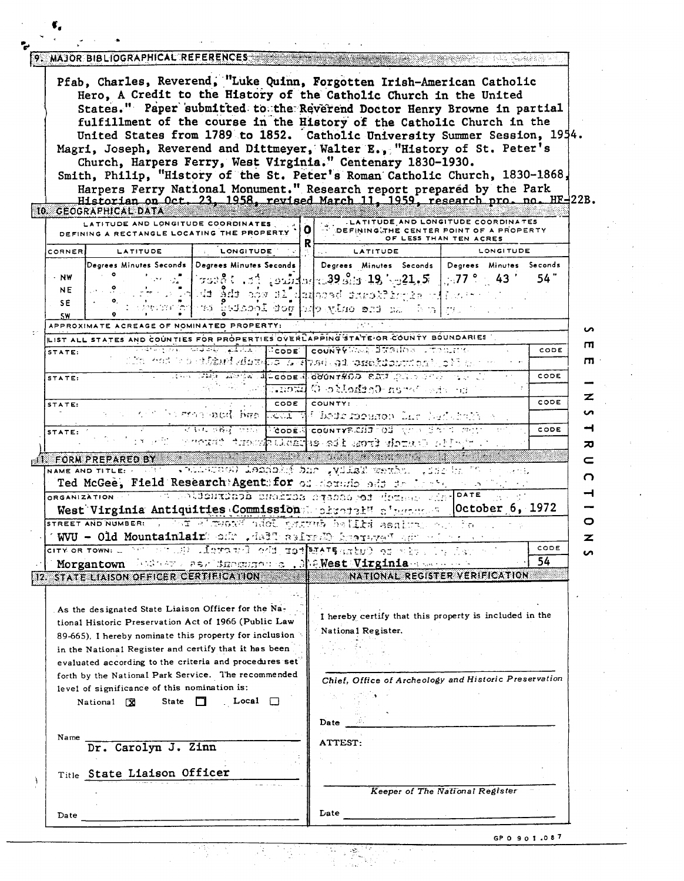|                         | 10. GEOGRAPHICAL DATA                                                                                       |                                                                                                               |   | Pfab, Charles, Reverend, "Luke Quinn, Forgotten Irish-American Catholic<br>Hero, A Credit to the History of the Catholic Church in the United<br>States." Paper submitted to the Reverend Doctor Henry Browne in partial<br>fulfillment of the course in the History of the Catholic Church in the<br>United States from 1789 to 1852. Catholic University Summer Session, 1954.<br>Magri, Joseph, Reverend and Dittmeyer, Walter E., "History of St. Peter's<br>Church, Harpers Ferry, West Virginia." Centenary 1830-1930.<br>Smith, Philip, "History of the St. Peter's Roman Catholic Church, 1830-1868,<br>Harpers Ferry National Monument." Research report prepared by the Park<br>Historian on Oct. 23, 1958, revised March 11, 1959, research pro. no. HF-22B. |                                 |              |
|-------------------------|-------------------------------------------------------------------------------------------------------------|---------------------------------------------------------------------------------------------------------------|---|-------------------------------------------------------------------------------------------------------------------------------------------------------------------------------------------------------------------------------------------------------------------------------------------------------------------------------------------------------------------------------------------------------------------------------------------------------------------------------------------------------------------------------------------------------------------------------------------------------------------------------------------------------------------------------------------------------------------------------------------------------------------------|---------------------------------|--------------|
|                         | LATITUDE AND LONGITUDE COORDINATES<br>DEFINING A RECTANGLE LOCATING THE PROPERTY                            |                                                                                                               | o | LATITUDE AND LONGITUDE COORDINATES<br>DEFINING THE CENTER POINT OF A PROPERTY                                                                                                                                                                                                                                                                                                                                                                                                                                                                                                                                                                                                                                                                                           | OF LESS THAN TEN ACRES          |              |
| CORNER                  | LATITUDE                                                                                                    | <b>LONGITUDE</b>                                                                                              | R | <b>LATITUDE</b>                                                                                                                                                                                                                                                                                                                                                                                                                                                                                                                                                                                                                                                                                                                                                         | LONGITUDE                       |              |
| - NW<br><b>NE</b><br>SE |                                                                                                             | Degrees Minutes Seconds   Degrees Minutes Seconds                                                             |   | Degrees Minutes Seconds   Degrees Minutes Seconds<br>$+$ 750 $\pm$ 10 $\pm$ 10 $\pm$ 10 $\pm$ 10 $\pm$ 19 $\pm$ 19 $\pm$ 10 $\pm$ 10 $\pm$ 17 $\pm$ 13 $'$<br>o la di Sde sov el derase encektrone alla so<br>$\pm\gamma$ and $\pm\alpha$ and $\pm\alpha$ and $\pm\alpha$ and $\pm\alpha$ and $\pm\alpha$                                                                                                                                                                                                                                                                                                                                                                                                                                                               |                                 | 54 "         |
| <b>SW</b>               | APPROXIMATE ACREAGE OF NOMINATED PROPERTY:                                                                  |                                                                                                               |   |                                                                                                                                                                                                                                                                                                                                                                                                                                                                                                                                                                                                                                                                                                                                                                         |                                 |              |
|                         |                                                                                                             |                                                                                                               |   | LIST ALL STATES AND COUNTIES FOR PROPERTIES OVERLAPPING STATE OR COUNTY BOUNDARIES                                                                                                                                                                                                                                                                                                                                                                                                                                                                                                                                                                                                                                                                                      |                                 |              |
| STATE:                  |                                                                                                             |                                                                                                               |   | ভাষণীয়াসমূলকা⊅কই ক্ষীনীয়া ⊺িcode   count?? কিন্তু টলিঙা(১৪ চালচায়েকে<br>ివేరు. గ్రీంన ప్రస్తరిస్థితిలో 2012 శ్రీనివాస్ 2012 అంది సంప్రదించిన సంస్కృతి స్ప్రీన్ కుమ్మార్ క్రాఫ్ క్రాఫ్ క                                                                                                                                                                                                                                                                                                                                                                                                                                                                                                                                                                              |                                 | CODE         |
| STATE:                  |                                                                                                             | CODE                                                                                                          |   | <b>TELL TELEF ASSESS A LOODE 4 000NTROD BAT DATS STATES OF</b><br>the self-between-Godbook C Extensive<br>COUNTY:                                                                                                                                                                                                                                                                                                                                                                                                                                                                                                                                                                                                                                                       |                                 | CODE<br>CODE |
| STATE:                  |                                                                                                             |                                                                                                               |   | prograph for consecutive that means and had consecute                                                                                                                                                                                                                                                                                                                                                                                                                                                                                                                                                                                                                                                                                                                   |                                 |              |
| STATE:                  |                                                                                                             | ਦੇ ਜਿਸ ਕੋਲੋਕੇ ਨਿਸ਼ਨ                                                                                           |   | SCODE COUNTYPICHO FOR YOUR SAFE MAN<br>enoud: trace <mark>balard</mark> es sif esti chine offere e                                                                                                                                                                                                                                                                                                                                                                                                                                                                                                                                                                                                                                                                      |                                 | CODE         |
|                         | <b>ITE FORM PREPARED BY</b><br>NAME AND TITLE: A MALL<br>ORGANIZATION                                       |                                                                                                               |   | Ted McGee, Field Research Agent for of demuis and in the sea<br>at soldentdepa enchica casse serient destruction of<br>West Virginia Antiquities Commission attached a personal October 6, 1972                                                                                                                                                                                                                                                                                                                                                                                                                                                                                                                                                                         |                                 |              |
|                         |                                                                                                             |                                                                                                               |   | STREET AND NUMBER: 1 1947 RITHORN GROUP STATUS DELLA ABRITAN SAN PO<br>WVU - Old Mountainlair odr . dall asirad kosreve" adv of a                                                                                                                                                                                                                                                                                                                                                                                                                                                                                                                                                                                                                                       |                                 |              |
|                         |                                                                                                             |                                                                                                               |   | Morgantown hadner as a importance . Me West Virginia assessment                                                                                                                                                                                                                                                                                                                                                                                                                                                                                                                                                                                                                                                                                                         |                                 | CODE<br>54   |
|                         | 12. STATE LIAISON OFFICER CERTIFICATION                                                                     |                                                                                                               |   | NATIONAL REGISTER VERIFICATION                                                                                                                                                                                                                                                                                                                                                                                                                                                                                                                                                                                                                                                                                                                                          |                                 |              |
|                         |                                                                                                             |                                                                                                               |   |                                                                                                                                                                                                                                                                                                                                                                                                                                                                                                                                                                                                                                                                                                                                                                         |                                 |              |
|                         | As the designated State Liaison Officer for the Na-<br>tional Historic Preservation Act of 1966 (Public Law | 89-665), I hereby nominate this property for inclusion                                                        |   | I hereby certify that this property is included in the<br>National Register.                                                                                                                                                                                                                                                                                                                                                                                                                                                                                                                                                                                                                                                                                            |                                 |              |
|                         | in the National Register and certify that it has been<br>level of significance of this nomination is:       | evaluated according to the criteria and procedures set<br>forth by the National Park Service. The recommended |   | Chief, Office of Archeology and Historic Preservation                                                                                                                                                                                                                                                                                                                                                                                                                                                                                                                                                                                                                                                                                                                   |                                 |              |
|                         | State<br>National X                                                                                         | $_{\circ}$ Local<br><b>THE</b>                                                                                |   | Date                                                                                                                                                                                                                                                                                                                                                                                                                                                                                                                                                                                                                                                                                                                                                                    |                                 |              |
| Name                    | Dr. Carolyn J. Zinn                                                                                         |                                                                                                               |   | <b>ATTEST:</b>                                                                                                                                                                                                                                                                                                                                                                                                                                                                                                                                                                                                                                                                                                                                                          |                                 |              |
|                         | Title State Liaison Officer                                                                                 |                                                                                                               |   |                                                                                                                                                                                                                                                                                                                                                                                                                                                                                                                                                                                                                                                                                                                                                                         |                                 |              |
|                         |                                                                                                             |                                                                                                               |   |                                                                                                                                                                                                                                                                                                                                                                                                                                                                                                                                                                                                                                                                                                                                                                         | Keeper of The National Register |              |
|                         |                                                                                                             |                                                                                                               |   |                                                                                                                                                                                                                                                                                                                                                                                                                                                                                                                                                                                                                                                                                                                                                                         |                                 |              |

 $\pmb{\epsilon}_i$ 

GPO **901** -087

 $\frac{1}{2}$ 

i<br>S

 $\ddot{\phantom{a}}$ 

 $\ddot{\phantom{a}}$ 

<u>Terry C</u>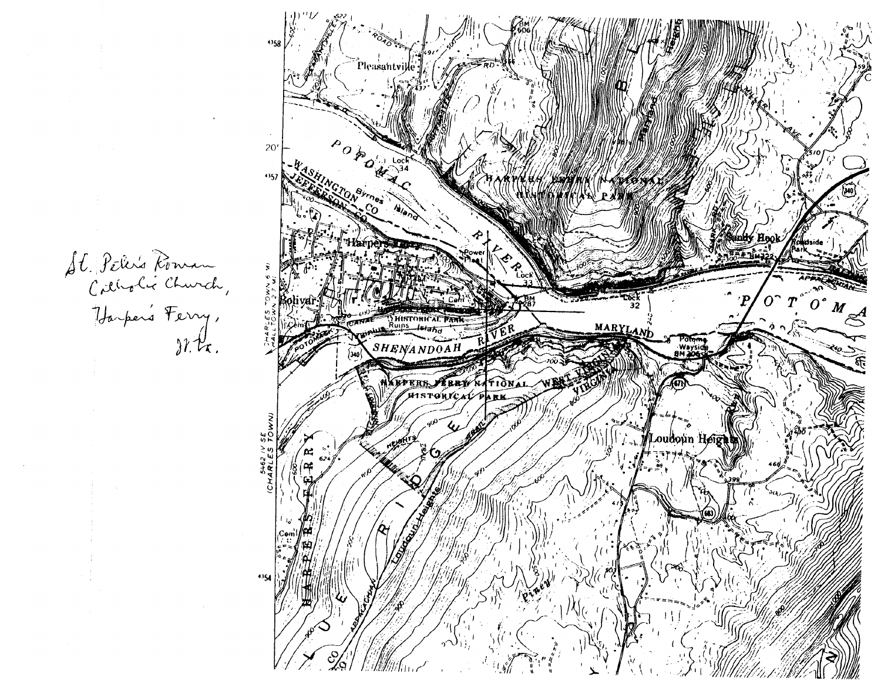